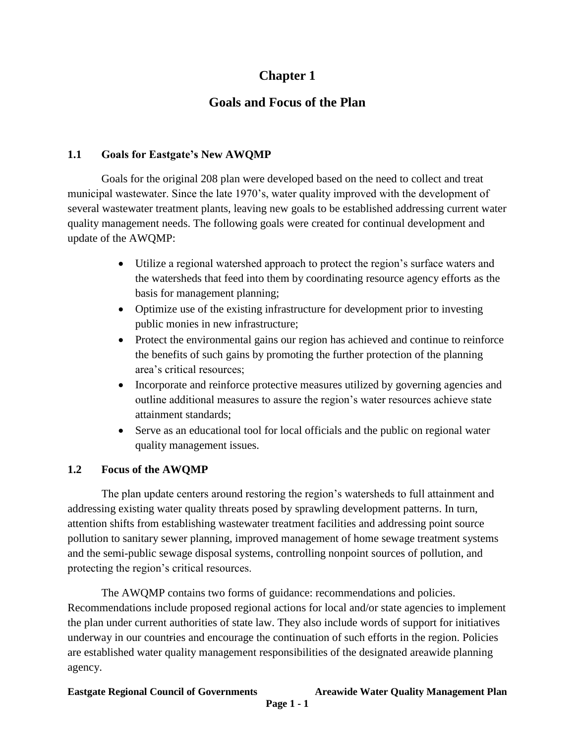# **Chapter 1**

## **Goals and Focus of the Plan**

#### **1.1 Goals for Eastgate's New AWQMP**

Goals for the original 208 plan were developed based on the need to collect and treat municipal wastewater. Since the late 1970's, water quality improved with the development of several wastewater treatment plants, leaving new goals to be established addressing current water quality management needs. The following goals were created for continual development and update of the AWQMP:

- Utilize a regional watershed approach to protect the region's surface waters and the watersheds that feed into them by coordinating resource agency efforts as the basis for management planning;
- Optimize use of the existing infrastructure for development prior to investing public monies in new infrastructure;
- Protect the environmental gains our region has achieved and continue to reinforce the benefits of such gains by promoting the further protection of the planning area's critical resources;
- Incorporate and reinforce protective measures utilized by governing agencies and outline additional measures to assure the region's water resources achieve state attainment standards;
- Serve as an educational tool for local officials and the public on regional water quality management issues.

### **1.2 Focus of the AWQMP**

The plan update centers around restoring the region's watersheds to full attainment and addressing existing water quality threats posed by sprawling development patterns. In turn, attention shifts from establishing wastewater treatment facilities and addressing point source pollution to sanitary sewer planning, improved management of home sewage treatment systems and the semi-public sewage disposal systems, controlling nonpoint sources of pollution, and protecting the region's critical resources.

The AWQMP contains two forms of guidance: recommendations and policies. Recommendations include proposed regional actions for local and/or state agencies to implement the plan under current authorities of state law. They also include words of support for initiatives underway in our countries and encourage the continuation of such efforts in the region. Policies are established water quality management responsibilities of the designated areawide planning agency.

**Eastgate Regional Council of Governments Areawide Water Quality Management Plan**